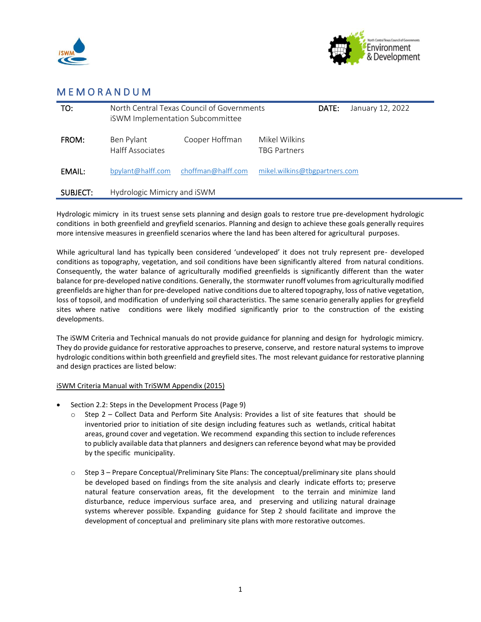



## M E M O R A N D U M

| TO:      | North Central Texas Council of Governments<br><b>iSWM Implementation Subcommittee</b> |                    |                               | DATE: | January 12, 2022 |
|----------|---------------------------------------------------------------------------------------|--------------------|-------------------------------|-------|------------------|
| FROM:    | Ben Pylant<br><b>Halff Associates</b>                                                 | Cooper Hoffman     | Mikel Wilkins<br>TBG Partners |       |                  |
| EMAIL:   | bpylant@halff.com                                                                     | choffman@halff.com | mikel.wilkins@tbgpartners.com |       |                  |
| SUBJECT: | Hydrologic Mimicry and iSWM                                                           |                    |                               |       |                  |

Hydrologic mimicry in its truest sense sets planning and design goals to restore true pre-development hydrologic conditions in both greenfield and greyfield scenarios. Planning and design to achieve these goals generally requires more intensive measures in greenfield scenarios where the land has been altered for agricultural purposes.

While agricultural land has typically been considered 'undeveloped' it does not truly represent pre- developed conditions as topography, vegetation, and soil conditions have been significantly altered from natural conditions. Consequently, the water balance of agriculturally modified greenfields is significantly different than the water balance for pre-developed native conditions. Generally, the stormwater runoff volumes from agriculturally modified greenfields are higher than for pre-developed native conditions due to altered topography, loss of native vegetation, loss of topsoil, and modification of underlying soil characteristics. The same scenario generally applies for greyfield sites where native conditions were likely modified significantly prior to the construction of the existing developments.

The iSWM Criteria and Technical manuals do not provide guidance for planning and design for hydrologic mimicry. They do provide guidance for restorative approaches to preserve, conserve, and restore natural systems to improve hydrologic conditions within both greenfield and greyfield sites. The most relevant guidance for restorative planning and design practices are listed below:

## iSWM Criteria Manual with TriSWM Appendix (2015)

- Section 2.2: Steps in the Development Process (Page 9)
	- o Step 2 Collect Data and Perform Site Analysis: Provides a list of site features that should be inventoried prior to initiation of site design including features such as wetlands, critical habitat areas, ground cover and vegetation. We recommend expanding this section to include references to publicly available data that planners and designers can reference beyond what may be provided by the specific municipality.
	- o Step 3 Prepare Conceptual/Preliminary Site Plans: The conceptual/preliminary site plans should be developed based on findings from the site analysis and clearly indicate efforts to; preserve natural feature conservation areas, fit the development to the terrain and minimize land disturbance, reduce impervious surface area, and preserving and utilizing natural drainage systems wherever possible. Expanding guidance for Step 2 should facilitate and improve the development of conceptual and preliminary site plans with more restorative outcomes.